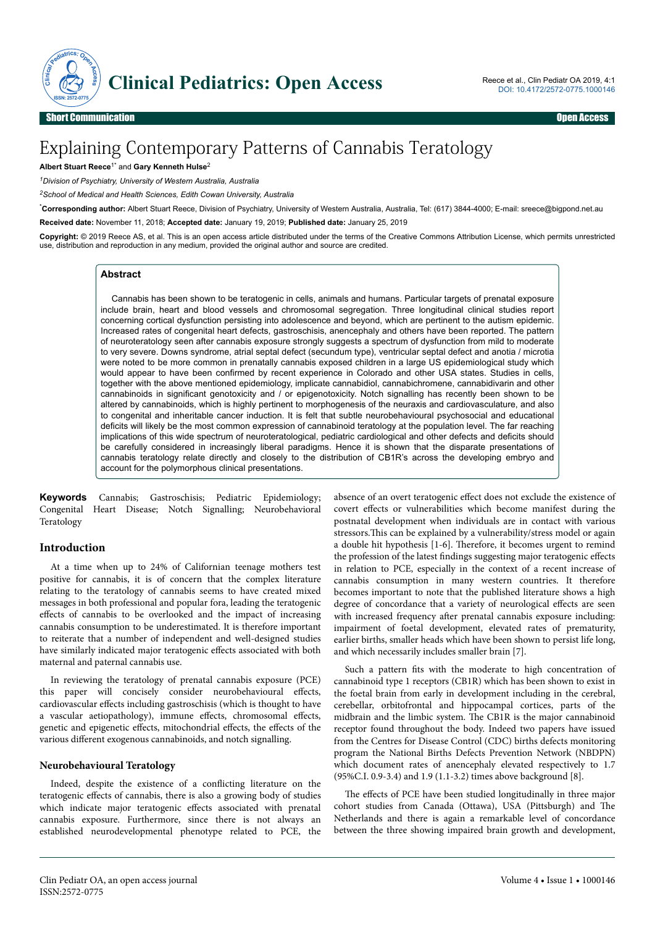

# Explaining Contemporary Patterns of Cannabis Teratology

**Albert Stuart Reece**1\* and **Gary Kenneth Hulse**<sup>2</sup>

*<sup>1</sup>Division of Psychiatry, University of Western Australia, Australia*

*<sup>2</sup>School of Medical and Health Sciences, Edith Cowan University, Australia*

\***Corresponding author:** Albert Stuart Reece, Division of Psychiatry, University of Western Australia, Australia, Tel: (617) 3844-4000; E-mail: sreece@bigpond.net.au

**Received date:** November 11, 2018; **Accepted date:** January 19, 2019; **Published date:** January 25, 2019

**Copyright:** © 2019 Reece AS, et al. This is an open access article distributed under the terms of the Creative Commons Attribution License, which permits unrestricted use, distribution and reproduction in any medium, provided the original author and source are credited.

#### **Abstract**

Cannabis has been shown to be teratogenic in cells, animals and humans. Particular targets of prenatal exposure include brain, heart and blood vessels and chromosomal segregation. Three longitudinal clinical studies report concerning cortical dysfunction persisting into adolescence and beyond, which are pertinent to the autism epidemic. Increased rates of congenital heart defects, gastroschisis, anencephaly and others have been reported. The pattern of neuroteratology seen after cannabis exposure strongly suggests a spectrum of dysfunction from mild to moderate to very severe. Downs syndrome, atrial septal defect (secundum type), ventricular septal defect and anotia / microtia were noted to be more common in prenatally cannabis exposed children in a large US epidemiological study which would appear to have been confirmed by recent experience in Colorado and other USA states. Studies in cells, together with the above mentioned epidemiology, implicate cannabidiol, cannabichromene, cannabidivarin and other cannabinoids in significant genotoxicity and / or epigenotoxicity. Notch signalling has recently been shown to be altered by cannabinoids, which is highly pertinent to morphogenesis of the neuraxis and cardiovasculature, and also to congenital and inheritable cancer induction. It is felt that subtle neurobehavioural psychosocial and educational deficits will likely be the most common expression of cannabinoid teratology at the population level. The far reaching implications of this wide spectrum of neuroteratological, pediatric cardiological and other defects and deficits should be carefully considered in increasingly liberal paradigms. Hence it is shown that the disparate presentations of cannabis teratology relate directly and closely to the distribution of CB1R's across the developing embryo and account for the polymorphous clinical presentations.

**Keywords** Cannabis; Gastroschisis; Pediatric Epidemiology; Congenital Heart Disease; Notch Signalling; Neurobehavioral Teratology

## **Introduction**

At a time when up to 24% of Californian teenage mothers test positive for cannabis, it is of concern that the complex literature relating to the teratology of cannabis seems to have created mixed messages in both professional and popular fora, leading the teratogenic effects of cannabis to be overlooked and the impact of increasing cannabis consumption to be underestimated. It is therefore important to reiterate that a number of independent and well-designed studies have similarly indicated major teratogenic effects associated with both maternal and paternal cannabis use.

In reviewing the teratology of prenatal cannabis exposure (PCE) this paper will concisely consider neurobehavioural effects, cardiovascular effects including gastroschisis (which is thought to have a vascular aetiopathology), immune effects, chromosomal effects, genetic and epigenetic effects, mitochondrial effects, the effects of the various different exogenous cannabinoids, and notch signalling.

#### **Neurobehavioural Teratology**

Indeed, despite the existence of a conflicting literature on the teratogenic effects of cannabis, there is also a growing body of studies which indicate major teratogenic effects associated with prenatal cannabis exposure. Furthermore, since there is not always an established neurodevelopmental phenotype related to PCE, the absence of an overt teratogenic effect does not exclude the existence of covert effects or vulnerabilities which become manifest during the postnatal development when individuals are in contact with various stressors. This can be explained by a vulnerability/stress model or again a double hit hypothesis [1-6]. Therefore, it becomes urgent to remind the profession of the latest findings suggesting major teratogenic effects in relation to PCE, especially in the context of a recent increase of cannabis consumption in many western countries. It therefore becomes important to note that the published literature shows a high degree of concordance that a variety of neurological effects are seen with increased frequency after prenatal cannabis exposure including: impairment of foetal development, elevated rates of prematurity, earlier births, smaller heads which have been shown to persist life long, and which necessarily includes smaller brain [7].

Such a pattern fits with the moderate to high concentration of cannabinoid type 1 receptors (CB1R) which has been shown to exist in the foetal brain from early in development including in the cerebral, cerebellar, orbitofrontal and hippocampal cortices, parts of the midbrain and the limbic system. Нe CB1R is the major cannabinoid receptor found throughout the body. Indeed two papers have issued from the Centres for Disease Control (CDC) births defects monitoring program the National Births Defects Prevention Network (NBDPN) which document rates of anencephaly elevated respectively to 1.7 (95%C.I. 0.9-3.4) and 1.9 (1.1-3.2) times above background [8].

The effects of PCE have been studied longitudinally in three major cohort studies from Canada (Ottawa), USA (Pittsburgh) and Нe Netherlands and there is again a remarkable level of concordance between the three showing impaired brain growth and development,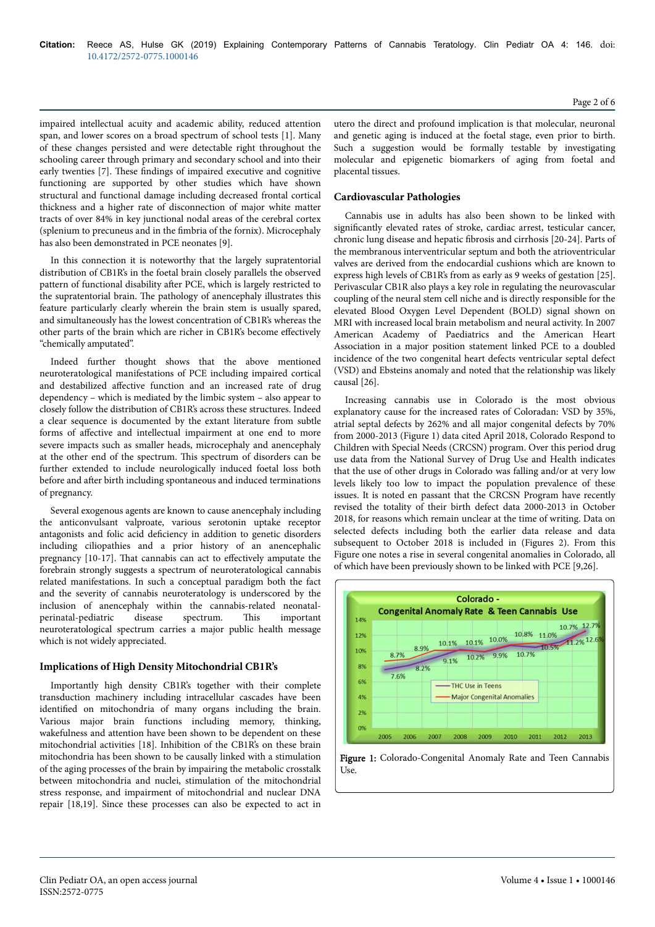impaired intellectual acuity and academic ability, reduced attention span, and lower scores on a broad spectrum of school tests [1]. Many of these changes persisted and were detectable right throughout the schooling career through primary and secondary school and into their early twenties [7]. Нese findings of impaired executive and cognitive functioning are supported by other studies which have shown structural and functional damage including decreased frontal cortical thickness and a higher rate of disconnection of major white matter tracts of over 84% in key junctional nodal areas of the cerebral cortex (splenium to precuneus and in the fimbria of the fornix). Microcephaly has also been demonstrated in PCE neonates [9].

In this connection it is noteworthy that the largely supratentorial distribution of CB1R's in the foetal brain closely parallels the observed pattern of functional disability after PCE, which is largely restricted to the supratentorial brain. Нe pathology of anencephaly illustrates this feature particularly clearly wherein the brain stem is usually spared, and simultaneously has the lowest concentration of CB1R's whereas the other parts of the brain which are richer in CB1R's become effectively "chemically amputated".

Indeed further thought shows that the above mentioned neuroteratological manifestations of PCE including impaired cortical and destabilized affective function and an increased rate of drug dependency – which is mediated by the limbic system – also appear to closely follow the distribution of CB1R's across these structures. Indeed a clear sequence is documented by the extant literature from subtle forms of affective and intellectual impairment at one end to more severe impacts such as smaller heads, microcephaly and anencephaly at the other end of the spectrum. Нis spectrum of disorders can be further extended to include neurologically induced foetal loss both before and after birth including spontaneous and induced terminations of pregnancy.

Several exogenous agents are known to cause anencephaly including the anticonvulsant valproate, various serotonin uptake receptor antagonists and folic acid deficiency in addition to genetic disorders including ciliopathies and a prior history of an anencephalic pregnancy  $[10-17]$ . That cannabis can act to effectively amputate the forebrain strongly suggests a spectrum of neuroteratological cannabis related manifestations. In such a conceptual paradigm both the fact and the severity of cannabis neuroteratology is underscored by the inclusion of anencephaly within the cannabis-related neonatalperinatal-pediatric disease spectrum. Нis important neuroteratological spectrum carries a major public health message which is not widely appreciated.

#### **Implications of High Density Mitochondrial CB1R's**

Importantly high density CB1R's together with their complete transduction machinery including intracellular cascades have been identified on mitochondria of many organs including the brain. Various major brain functions including memory, thinking, wakefulness and attention have been shown to be dependent on these mitochondrial activities [18]. Inhibition of the CB1R's on these brain mitochondria has been shown to be causally linked with a stimulation of the aging processes of the brain by impairing the metabolic crosstalk between mitochondria and nuclei, stimulation of the mitochondrial stress response, and impairment of mitochondrial and nuclear DNA repair [18,19]. Since these processes can also be expected to act in

utero the direct and profound implication is that molecular, neuronal and genetic aging is induced at the foetal stage, even prior to birth. Such a suggestion would be formally testable by investigating molecular and epigenetic biomarkers of aging from foetal and placental tissues.

## **Cardiovascular Pathologies**

Cannabis use in adults has also been shown to be linked with significantly elevated rates of stroke, cardiac arrest, testicular cancer, chronic lung disease and hepatic fibrosis and cirrhosis [20-24]. Parts of the membranous interventricular septum and both the atrioventricular valves are derived from the endocardial cushions which are known to express high levels of CB1R's from as early as 9 weeks of gestation [25]. Perivascular CB1R also plays a key role in regulating the neurovascular coupling of the neural stem cell niche and is directly responsible for the elevated Blood Oxygen Level Dependent (BOLD) signal shown on MRI with increased local brain metabolism and neural activity. In 2007 American Academy of Paediatrics and the American Heart Association in a major position statement linked PCE to a doubled incidence of the two congenital heart defects ventricular septal defect (VSD) and Ebsteins anomaly and noted that the relationship was likely causal [26].

Increasing cannabis use in Colorado is the most obvious explanatory cause for the increased rates of Coloradan: VSD by 35%, atrial septal defects by 262% and all major congenital defects by 70% from 2000-2013 (Figure 1) data cited April 2018, Colorado Respond to Children with Special Needs (CRCSN) program. Over this period drug use data from the National Survey of Drug Use and Health indicates that the use of other drugs in Colorado was falling and/or at very low levels likely too low to impact the population prevalence of these issues. It is noted en passant that the CRCSN Program have recently revised the totality of their birth defect data 2000-2013 in October 2018, for reasons which remain unclear at the time of writing. Data on selected defects including both the earlier data release and data subsequent to October 2018 is included in (Figures 2). From this Figure one notes a rise in several congenital anomalies in Colorado, all of which have been previously shown to be linked with PCE [9,26].



Figure 1: Colorado-Congenital Anomaly Rate and Teen Cannabis Use.

Page 2 of 6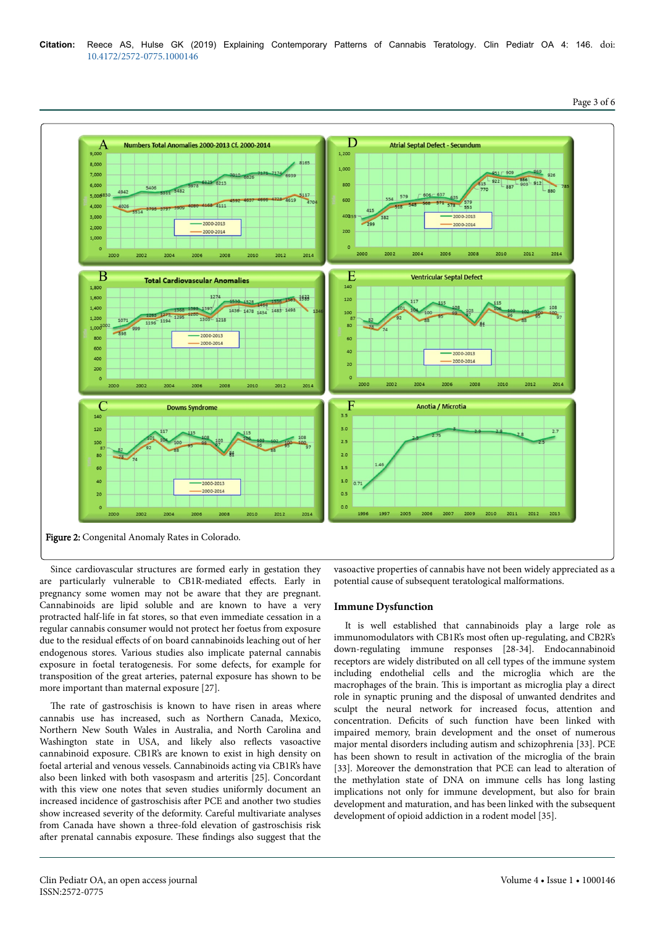

Since cardiovascular structures are formed early in gestation they are particularly vulnerable to CB1R-mediated effects. Early in pregnancy some women may not be aware that they are pregnant. Cannabinoids are lipid soluble and are known to have a very protracted half-life in fat stores, so that even immediate cessation in a regular cannabis consumer would not protect her foetus from exposure due to the residual effects of on board cannabinoids leaching out of her endogenous stores. Various studies also implicate paternal cannabis exposure in foetal teratogenesis. For some defects, for example for transposition of the great arteries, paternal exposure has shown to be more important than maternal exposure [27].

The rate of gastroschisis is known to have risen in areas where cannabis use has increased, such as Northern Canada, Mexico, Northern New South Wales in Australia, and North Carolina and Washington state in USA, and likely also reflects vasoactive cannabinoid exposure. CB1R's are known to exist in high density on foetal arterial and venous vessels. Cannabinoids acting via CB1R's have also been linked with both vasospasm and arteritis [25]. Concordant with this view one notes that seven studies uniformly document an increased incidence of gastroschisis after PCE and another two studies show increased severity of the deformity. Careful multivariate analyses from Canada have shown a three-fold elevation of gastroschisis risk after prenatal cannabis exposure. These findings also suggest that the

vasoactive properties of cannabis have not been widely appreciated as a potential cause of subsequent teratological malformations.

#### **Immune Dysfunction**

It is well established that cannabinoids play a large role as immunomodulators with CB1R's most often up-regulating, and CB2R's down-regulating immune responses [28-34]. Endocannabinoid receptors are widely distributed on all cell types of the immune system including endothelial cells and the microglia which are the macrophages of the brain. Нis is important as microglia play a direct role in synaptic pruning and the disposal of unwanted dendrites and sculpt the neural network for increased focus, attention and concentration. Deficits of such function have been linked with impaired memory, brain development and the onset of numerous major mental disorders including autism and schizophrenia [33]. PCE has been shown to result in activation of the microglia of the brain [33]. Moreover the demonstration that PCE can lead to alteration of the methylation state of DNA on immune cells has long lasting implications not only for immune development, but also for brain development and maturation, and has been linked with the subsequent development of opioid addiction in a rodent model [35].

Page 3 of 6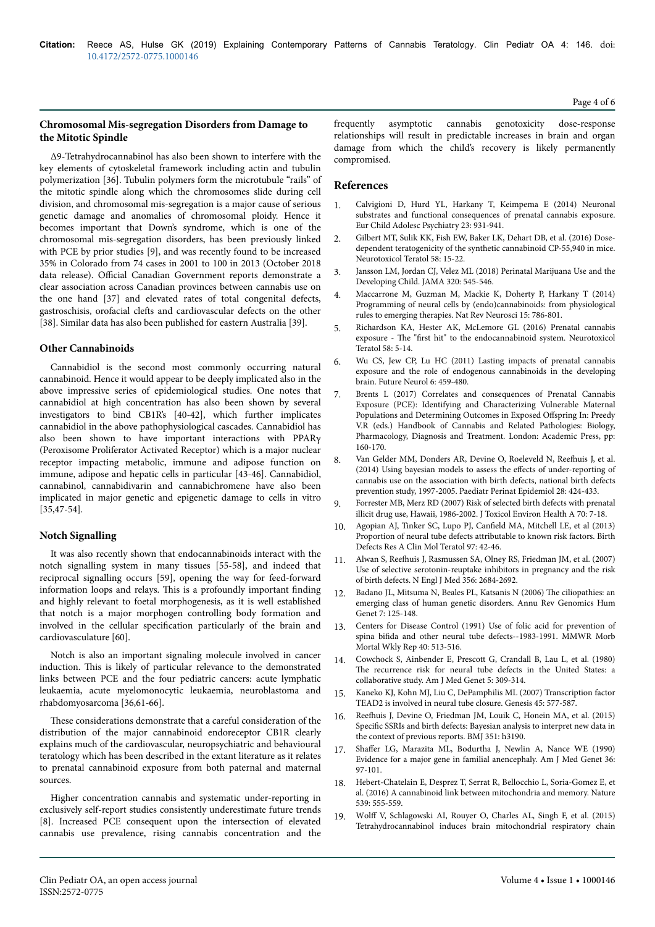## **Chromosomal Mis-segregation Disorders from Damage to the Mitotic Spindle**

∆9-Tetrahydrocannabinol has also been shown to interfere with the key elements of cytoskeletal framework including actin and tubulin polymerization [36]. Tubulin polymers form the microtubule "rails" of the mitotic spindle along which the chromosomes slide during cell division, and chromosomal mis-segregation is a major cause of serious genetic damage and anomalies of chromosomal ploidy. Hence it becomes important that Down's syndrome, which is one of the chromosomal mis-segregation disorders, has been previously linked with PCE by prior studies [9], and was recently found to be increased 35% in Colorado from 74 cases in 2001 to 100 in 2013 (October 2018 data release). Official Canadian Government reports demonstrate a clear association across Canadian provinces between cannabis use on the one hand [37] and elevated rates of total congenital defects, gastroschisis, orofacial clefts and cardiovascular defects on the other [38]. Similar data has also been published for eastern Australia [39].

## **Other Cannabinoids**

Cannabidiol is the second most commonly occurring natural cannabinoid. Hence it would appear to be deeply implicated also in the above impressive series of epidemiological studies. One notes that cannabidiol at high concentration has also been shown by several investigators to bind CB1R's [40-42], which further implicates cannabidiol in the above pathophysiological cascades. Cannabidiol has also been shown to have important interactions with PPARγ (Peroxisome Proliferator Activated Receptor) which is a major nuclear receptor impacting metabolic, immune and adipose function on immune, adipose and hepatic cells in particular [43-46]. Cannabidiol, cannabinol, cannabidivarin and cannabichromene have also been implicated in major genetic and epigenetic damage to cells in vitro [35,47-54].

## **Notch Signalling**

It was also recently shown that endocannabinoids interact with the notch signalling system in many tissues [55-58], and indeed that reciprocal signalling occurs [59], opening the way for feed-forward information loops and relays. Нis is a profoundly important finding and highly relevant to foetal morphogenesis, as it is well established that notch is a major morphogen controlling body formation and involved in the cellular specification particularly of the brain and cardiovasculature [60].

Notch is also an important signaling molecule involved in cancer induction. Нis is likely of particular relevance to the demonstrated links between PCE and the four pediatric cancers: acute lymphatic leukaemia, acute myelomonocytic leukaemia, neuroblastoma and rhabdomyosarcoma [36,61-66].

These considerations demonstrate that a careful consideration of the distribution of the major cannabinoid endoreceptor CB1R clearly explains much of the cardiovascular, neuropsychiatric and behavioural teratology which has been described in the extant literature as it relates to prenatal cannabinoid exposure from both paternal and maternal sources.

Higher concentration cannabis and systematic under-reporting in exclusively self-report studies consistently underestimate future trends [8]. Increased PCE consequent upon the intersection of elevated cannabis use prevalence, rising cannabis concentration and the

frequently asymptotic cannabis genotoxicity dose-response relationships will result in predictable increases in brain and organ damage from which the child's recovery is likely permanently compromised.

# **References**

- 1. [Calvigioni D, Hurd YL, Harkany T, Keimpema E \(2014\) Neuronal](https://www.ncbi.nlm.nih.gov/pmc/articles/PMC4459494/) [substrates and functional consequences of prenatal cannabis exposure.](https://www.ncbi.nlm.nih.gov/pmc/articles/PMC4459494/) [Eur Child Adolesc Psychiatry 23: 931-941.](https://www.ncbi.nlm.nih.gov/pmc/articles/PMC4459494/)
- 2. [Gilbert MT, Sulik KK, Fish EW, Baker LK, Dehart DB, et al. \(2016\) Dose](https://doi.org/10.1016/j.ntt.2015.12.004)[dependent teratogenicity of the synthetic cannabinoid CP-55,940 in mice.](https://doi.org/10.1016/j.ntt.2015.12.004) [Neurotoxicol Teratol 58: 15-22.](https://doi.org/10.1016/j.ntt.2015.12.004)
- 3. [Jansson LM, Jordan CJ, Velez ML \(2018\) Perinatal Marijuana Use and the](https://doi.org/10.1001/jama.2018.8401) [Developing Child. JAMA 320: 545-546.](https://doi.org/10.1001/jama.2018.8401)
- 4. [Maccarrone M, Guzman M, Mackie K, Doherty P, Harkany T \(2014\)](https://doi.org/10.1038/nrn3846) [Programming of neural cells by \(endo\)cannabinoids: from physiological](https://doi.org/10.1038/nrn3846) [rules to emerging therapies. Nat Rev Neurosci 15: 786-801.](https://doi.org/10.1038/nrn3846)
- 5. [Richardson KA, Hester AK, McLemore GL \(2016\) Prenatal cannabis](https://doi.org/10.1016/j.ntt.2016.08.003) exposure - The "first [hit" to the endocannabinoid system. Neurotoxicol](https://doi.org/10.1016/j.ntt.2016.08.003) [Teratol 58: 5-14.](https://doi.org/10.1016/j.ntt.2016.08.003)
- 6. [Wu CS, Jew CP, Lu HC \(2011\) Lasting impacts of prenatal cannabis](https://www.ncbi.nlm.nih.gov/pmc/articles/PMC3252200/) [exposure and the role of endogenous cannabinoids in the developing](https://www.ncbi.nlm.nih.gov/pmc/articles/PMC3252200/) [brain. Future Neurol 6: 459-480.](https://www.ncbi.nlm.nih.gov/pmc/articles/PMC3252200/)
- 7. Brents L (2017) Correlates and consequences of Prenatal Cannabis Exposure (PCE): Identifying and Characterizing Vulnerable Maternal Populations and Determining Outcomes in Exposed Offspring In: Preedy V.R (eds.) Handbook of Cannabis and Related Pathologies: Biology, Pharmacology, Diagnosis and Treatment. London: Academic Press, pp: 160-170.
- [Van Gelder MM, Donders AR, Devine O, Roeleveld N,](https://doi.org/10.1111/ppe.12140) Reefhuis J, et al. [\(2014\) Using bayesian models to assess the](https://doi.org/10.1111/ppe.12140) effects of under-reporting of [cannabis use on the association with birth defects, national birth defects](https://doi.org/10.1111/ppe.12140) [prevention study, 1997-2005. Paediatr Perinat Epidemiol 28: 424-433.](https://doi.org/10.1111/ppe.12140)
- 9. [Forrester MB, Merz RD \(2007\) Risk of selected birth defects with prenatal](https://doi.org/10.1080/15287390600748799) [illicit drug use, Hawaii, 1986-2002. J Toxicol Environ Health A 70: 7-18.](https://doi.org/10.1080/15287390600748799)
- 10. [Agopian AJ, Tinker SC, Lupo PJ,](https://doi.org/10.1002/bdra.23100) Canfield MA, Mitchell LE, et al (2013) [Proportion of neural tube defects attributable to known risk factors. Birth](https://doi.org/10.1002/bdra.23100) [Defects Res A Clin Mol Teratol 97: 42-46.](https://doi.org/10.1002/bdra.23100)
- 11. Alwan S, Reefhuis [J, Rasmussen SA, Olney RS, Friedman JM, et al. \(2007\)](https://doi.org/10.1056/NEJMoa066584) [Use of selective serotonin-reuptake inhibitors in pregnancy and the risk](https://doi.org/10.1056/NEJMoa066584) [of birth defects. N Engl J Med 356: 2684-2692.](https://doi.org/10.1056/NEJMoa066584)
- 12. [Badano JL, Mitsuma N, Beales PL, Katsanis N \(2006\)](https://doi.org/10.1146/annurev.genom.7.080505.115610) Нe ciliopathies: an [emerging class of human genetic disorders. Annu Rev Genomics Hum](https://doi.org/10.1146/annurev.genom.7.080505.115610) [Genet 7: 125-148.](https://doi.org/10.1146/annurev.genom.7.080505.115610)
- 13. [Centers for Disease Control \(1991\) Use of folic acid for prevention of](https://dx.doi.org/10.1001/jama.1991.03470090024009) spina bifida [and other neural tube defects--1983-1991. MMWR Morb](https://dx.doi.org/10.1001/jama.1991.03470090024009) [Mortal Wkly Rep 40: 513-516.](https://dx.doi.org/10.1001/jama.1991.03470090024009)
- 14. [Cowchock S, Ainbender E, Prescott G, Crandall B, Lau L, et al. \(1980\)](https://doi.org/10.1002/ajmg.1320050314) The [recurrence risk for neural tube defects in the United States: a](https://doi.org/10.1002/ajmg.1320050314) [collaborative study. Am J Med Genet 5: 309-314.](https://doi.org/10.1002/ajmg.1320050314)
- 15. [Kaneko KJ, Kohn MJ, Liu C, DePamphilis ML \(2007\) Transcription factor](https://doi.org/10.1002/dvg.20330) [TEAD2 is involved in neural tube closure. Genesis 45: 577-587.](https://doi.org/10.1002/dvg.20330)
- 16. Reefhuis [J, Devine O, Friedman JM, Louik C, Honein MA, et al. \(2015\)](https://doi.org/10.1136/bmj.h3190) Specific [SSRIs and birth defects: Bayesian analysis to interpret new data in](https://doi.org/10.1136/bmj.h3190) [the context of previous reports. BMJ 351: h3190.](https://doi.org/10.1136/bmj.h3190)
- 17. Shaffer [LG, Marazita ML, Bodurtha J, Newlin A, Nance WE \(1990\)](https://doi.org/10.1002/ajmg.1320360119) [Evidence for a major gene in familial anencephaly. Am J Med Genet 36:](https://doi.org/10.1002/ajmg.1320360119) [97-101.](https://doi.org/10.1002/ajmg.1320360119)
- 18. [Hebert-Chatelain E, Desprez T, Serrat R, Bellocchio L, Soria-Gomez E, et](https://doi.org/10.1038/nature20127) [al. \(2016\) A cannabinoid link between mitochondria and memory. Nature](https://doi.org/10.1038/nature20127) [539: 555-559.](https://doi.org/10.1038/nature20127)
- 19. Wolff [V, Schlagowski AI, Rouyer O, Charles AL, Singh F, et al. \(2015\)](https://doi.org/10.1155/2015/323706) [Tetrahydrocannabinol induces brain mitochondrial respiratory chain](https://doi.org/10.1155/2015/323706)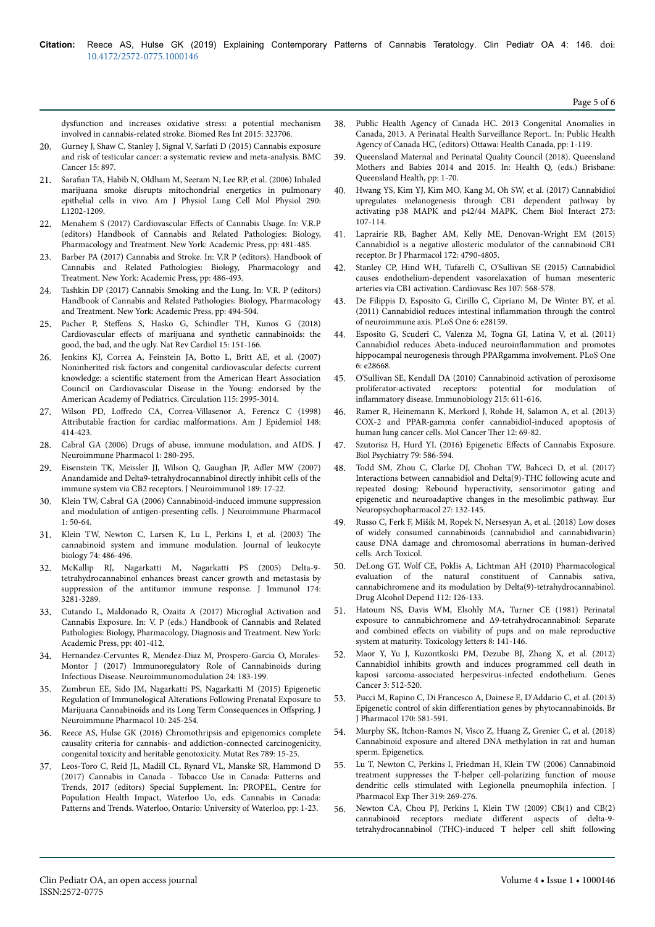[dysfunction and increases oxidative stress: a potential mechanism](https://doi.org/10.1155/2015/323706) [involved in cannabis-related stroke. Biomed Res Int 2015: 323706.](https://doi.org/10.1155/2015/323706)

- 20. [Gurney J, Shaw C, Stanley J, Signal V, Sarfati D \(2015\) Cannabis exposure](https://dx.doi.org/10.1186%2Fs12885-015-1905-6) [and risk of testicular cancer: a systematic review and meta-analysis. BMC](https://dx.doi.org/10.1186%2Fs12885-015-1905-6) [Cancer 15: 897.](https://dx.doi.org/10.1186%2Fs12885-015-1905-6)
- 21. Sarafian [TA, Habib N, Oldham M, Seeram N, Lee RP, et al. \(2006\) Inhaled](https://doi.org/10.1152/ajplung.00371.2005) [marijuana smoke disrupts mitochondrial energetics in pulmonary](https://doi.org/10.1152/ajplung.00371.2005) [epithelial cells in vivo. Am J Physiol Lung Cell Mol Physiol 290:](https://doi.org/10.1152/ajplung.00371.2005) [L1202-1209.](https://doi.org/10.1152/ajplung.00371.2005)
- 22. Menahem S (2017) Cardiovascular Effects of Cannabis Usage. In: V.R.P (editors) Handbook of Cannabis and Related Pathologies: Biology, Pharmacology and Treatment. New York: Academic Press, pp: 481-485.
- 23. Barber PA (2017) Cannabis and Stroke. In: V.R P (editors). Handbook of Cannabis and Related Pathologies: Biology, Pharmacology and Treatment. New York: Academic Press, pp: 486-493.
- 24. Tashkin DP (2017) Cannabis Smoking and the Lung. In: V.R. P (editors) Handbook of Cannabis and Related Pathologies: Biology, Pharmacology and Treatment. New York: Academic Press, pp: 494-504.
- 25. Pacher P, Steffens [S, Hasko G, Schindler TH, Kunos G \(2018\)](https://doi.org/10.1038/nrcardio.2017.130) Cardiovascular effects [of marijuana and synthetic cannabinoids: the](https://doi.org/10.1038/nrcardio.2017.130) [good, the bad, and the ugly. Nat Rev Cardiol 15: 151-166.](https://doi.org/10.1038/nrcardio.2017.130)
- 26. [Jenkins KJ, Correa A, Feinstein JA, Botto L, Britt AE, et al. \(2007\)](https://doi.org/10.1161/CIRCULATIONAHA.106.183216) [Noninherited risk factors and congenital cardiovascular defects: current](https://doi.org/10.1161/CIRCULATIONAHA.106.183216) knowledge: a scientific [statement from the American Heart Association](https://doi.org/10.1161/CIRCULATIONAHA.106.183216) [Council on Cardiovascular Disease in the Young: endorsed by the](https://doi.org/10.1161/CIRCULATIONAHA.106.183216) [American Academy of Pediatrics. Circulation 115: 2995-3014.](https://doi.org/10.1161/CIRCULATIONAHA.106.183216)
- 27. Wilson PD, Loffredo [CA, Correa-Villasenor A, Ferencz C \(1998\)](https://watermark.silverchair.com/148-5-414.pdf?token=AQECAHi208BE49Ooan9kkhW_Ercy7Dm3ZL_9Cf3qfKAc485ysgAAAk4wggJKBgkqhkiG9w0BBwagggI7MIICNwIBADCCAjAGCSqGSIb3DQEHATAeBglghkgBZQMEAS4wEQQMHIVffpcKA_o20sUiAgEQgIICATTnJ9bUts__bCb7KHyoVSo1zOWd4MhCr_bjpSqPdvxV1UBRCkyKb9_JLuVEaVQetyaPBLDr2A8nY8ipywZBE-1ZiwgYd3SzbPbeB58ULLzWvqkeoaPvyHBHXgy8vqc8yT3kWwBg38Sa8po_PGJuVW2MUp2OTHFvSrG2yfg1KIm3wVTjWsInl7nGPg8Wf_2vea8NNBBSSOd8iOhKYQjb-vU33XpjPGyUm853sGfnRgD_BitxgyEOHgSe6KYV_acitKD_hkI3npW02u9MN8LIxAHUuIdYg-_gVu3pyVL46PPtRblz3U8Qzz83IrnYQdnVfnWgzSVI1YaDcbKJcPa_N6HcFpanD9o-on1KTHHTGx3QLhZq3hlLyBe21PptjA7FyosrzyFkgENIXY0tC4bI3StFuxcFuIInamX6X_ZvToyTA2nA0UwxTh4d7MuHSdNOM2X0BLP0HOAm46UUXGe-JCRcBula3CKKrZf4Z7ftoe3ORBQfycgO4PqSacaDEWUumSqpIUE6DfCV6fim_e4AGobq7SN5e5a4aIsRmOFUyFdb1HgM9Ahds3rT5LMYKubZO6SNYV7crcmKpAjoOLvYxmXLttvCNDRmknsPkbaBdLUI8buU0L41ICzNei63vxUu0KENKotDNlpFvm7fzFNoxkZ7m-jLxb1eUgsrS_T950otrA) [Attributable fraction for cardiac malformations. Am J Epidemiol 148:](https://watermark.silverchair.com/148-5-414.pdf?token=AQECAHi208BE49Ooan9kkhW_Ercy7Dm3ZL_9Cf3qfKAc485ysgAAAk4wggJKBgkqhkiG9w0BBwagggI7MIICNwIBADCCAjAGCSqGSIb3DQEHATAeBglghkgBZQMEAS4wEQQMHIVffpcKA_o20sUiAgEQgIICATTnJ9bUts__bCb7KHyoVSo1zOWd4MhCr_bjpSqPdvxV1UBRCkyKb9_JLuVEaVQetyaPBLDr2A8nY8ipywZBE-1ZiwgYd3SzbPbeB58ULLzWvqkeoaPvyHBHXgy8vqc8yT3kWwBg38Sa8po_PGJuVW2MUp2OTHFvSrG2yfg1KIm3wVTjWsInl7nGPg8Wf_2vea8NNBBSSOd8iOhKYQjb-vU33XpjPGyUm853sGfnRgD_BitxgyEOHgSe6KYV_acitKD_hkI3npW02u9MN8LIxAHUuIdYg-_gVu3pyVL46PPtRblz3U8Qzz83IrnYQdnVfnWgzSVI1YaDcbKJcPa_N6HcFpanD9o-on1KTHHTGx3QLhZq3hlLyBe21PptjA7FyosrzyFkgENIXY0tC4bI3StFuxcFuIInamX6X_ZvToyTA2nA0UwxTh4d7MuHSdNOM2X0BLP0HOAm46UUXGe-JCRcBula3CKKrZf4Z7ftoe3ORBQfycgO4PqSacaDEWUumSqpIUE6DfCV6fim_e4AGobq7SN5e5a4aIsRmOFUyFdb1HgM9Ahds3rT5LMYKubZO6SNYV7crcmKpAjoOLvYxmXLttvCNDRmknsPkbaBdLUI8buU0L41ICzNei63vxUu0KENKotDNlpFvm7fzFNoxkZ7m-jLxb1eUgsrS_T950otrA) [414-423.](https://watermark.silverchair.com/148-5-414.pdf?token=AQECAHi208BE49Ooan9kkhW_Ercy7Dm3ZL_9Cf3qfKAc485ysgAAAk4wggJKBgkqhkiG9w0BBwagggI7MIICNwIBADCCAjAGCSqGSIb3DQEHATAeBglghkgBZQMEAS4wEQQMHIVffpcKA_o20sUiAgEQgIICATTnJ9bUts__bCb7KHyoVSo1zOWd4MhCr_bjpSqPdvxV1UBRCkyKb9_JLuVEaVQetyaPBLDr2A8nY8ipywZBE-1ZiwgYd3SzbPbeB58ULLzWvqkeoaPvyHBHXgy8vqc8yT3kWwBg38Sa8po_PGJuVW2MUp2OTHFvSrG2yfg1KIm3wVTjWsInl7nGPg8Wf_2vea8NNBBSSOd8iOhKYQjb-vU33XpjPGyUm853sGfnRgD_BitxgyEOHgSe6KYV_acitKD_hkI3npW02u9MN8LIxAHUuIdYg-_gVu3pyVL46PPtRblz3U8Qzz83IrnYQdnVfnWgzSVI1YaDcbKJcPa_N6HcFpanD9o-on1KTHHTGx3QLhZq3hlLyBe21PptjA7FyosrzyFkgENIXY0tC4bI3StFuxcFuIInamX6X_ZvToyTA2nA0UwxTh4d7MuHSdNOM2X0BLP0HOAm46UUXGe-JCRcBula3CKKrZf4Z7ftoe3ORBQfycgO4PqSacaDEWUumSqpIUE6DfCV6fim_e4AGobq7SN5e5a4aIsRmOFUyFdb1HgM9Ahds3rT5LMYKubZO6SNYV7crcmKpAjoOLvYxmXLttvCNDRmknsPkbaBdLUI8buU0L41ICzNei63vxUu0KENKotDNlpFvm7fzFNoxkZ7m-jLxb1eUgsrS_T950otrA)
- 28. [Cabral GA \(2006\) Drugs of abuse, immune modulation, and AIDS. J](https://doi.org/10.1007/s11481-006-9023-5) [Neuroimmune Pharmacol 1: 280-295.](https://doi.org/10.1007/s11481-006-9023-5)
- 29. [Eisenstein TK, Meissler JJ, Wilson Q, Gaughan JP, Adler MW \(2007\)](https://doi.org/10.1016/j.jneuroim.2007.06.001) [Anandamide and Delta9-tetrahydrocannabinol directly inhibit cells of the](https://doi.org/10.1016/j.jneuroim.2007.06.001) [immune system via CB2 receptors. J Neuroimmunol 189: 17-22.](https://doi.org/10.1016/j.jneuroim.2007.06.001)
- 30. [Klein TW, Cabral GA \(2006\) Cannabinoid-induced immune suppression](https://doi.org/10.1007/s11481-005-9007-x) [and modulation of antigen-presenting cells. J Neuroimmune Pharmacol](https://doi.org/10.1007/s11481-005-9007-x) [1: 50-64.](https://doi.org/10.1007/s11481-005-9007-x)
- 31. [Klein TW, Newton C, Larsen K, Lu L, Perkins I, et al. \(2003\)](https://doi.org/10.1189/jlb.0303101) Нe [cannabinoid system and immune modulation. Journal of leukocyte](https://doi.org/10.1189/jlb.0303101) [biology 74: 486-496.](https://doi.org/10.1189/jlb.0303101)
- 32. [McKallip RJ, Nagarkatti M, Nagarkatti PS \(2005\) Delta-9](https://doi.org/10.4049/jimmunol.174.6.3281) [tetrahydrocannabinol enhances breast cancer growth and metastasis by](https://doi.org/10.4049/jimmunol.174.6.3281) [suppression of the antitumor immune response. J Immunol 174:](https://doi.org/10.4049/jimmunol.174.6.3281) [3281-3289.](https://doi.org/10.4049/jimmunol.174.6.3281)
- 33. Cutando L, Maldonado R, Ozaita A (2017) Microglial Activation and Cannabis Exposure. In: V. P (eds.) Handbook of Cannabis and Related Pathologies: Biology, Pharmacology, Diagnosis and Treatment. New York: Academic Press, pp: 401-412.
- 34. [Hernandez-Cervantes R, Mendez-Diaz M, Prospero-Garcia O, Morales-](https://doi.org/10.1159/000481824)[Montor J \(2017\) Immunoregulatory Role of Cannabinoids during](https://doi.org/10.1159/000481824) [Infectious Disease. Neuroimmunomodulation 24: 183-199.](https://doi.org/10.1159/000481824)
- 35. [Zumbrun EE, Sido JM, Nagarkatti PS, Nagarkatti M \(2015\) Epigenetic](https://doi.org/10.1007/s11481-015-9586-0) [Regulation of Immunological Alterations Following Prenatal Exposure to](https://doi.org/10.1007/s11481-015-9586-0) [Marijuana Cannabinoids and its Long Term Consequences in](https://doi.org/10.1007/s11481-015-9586-0) Offspring. J [Neuroimmune Pharmacol 10: 245-254.](https://doi.org/10.1007/s11481-015-9586-0)
- 36. [Reece AS, Hulse GK \(2016\) Chromothripsis and epigenomics complete](https://doi.org/10.1016/j.mrfmmm.2016.05.002) [causality criteria for cannabis- and addiction-connected carcinogenicity,](https://doi.org/10.1016/j.mrfmmm.2016.05.002) [congenital toxicity and heritable genotoxicity. Mutat Res 789: 15-25.](https://doi.org/10.1016/j.mrfmmm.2016.05.002)
- 37. Leos-Toro C, Reid JL, Madill CL, Rynard VL, Manske SR, Hammond D (2017) Cannabis in Canada - Tobacco Use in Canada: Patterns and Trends, 2017 (editors) Special Supplement. In: PROPEL, Centre for Population Health Impact, Waterloo Uo, eds. Cannabis in Canada: Patterns and Trends. Waterloo, Ontario: University of Waterloo, pp: 1-23.
- 38. Public Health Agency of Canada HC. 2013 Congenital Anomalies in Canada, 2013. A Perinatal Health Surveillance Report.. In: Public Health Agency of Canada HC, (editors) Ottawa: Health Canada, pp: 1-119.
- 39. Queensland Maternal and Perinatal Quality Council (2018). Queensland Mothers and Babies 2014 and 2015. In: Health Q, (eds.) Brisbane: Queensland Health, pp: 1-70.
- 40. [Hwang YS, Kim YJ, Kim MO, Kang M, Oh SW, et al. \(2017\) Cannabidiol](https://doi.org/10.1016/j.cbi.2017.06.005) [upregulates melanogenesis through CB1 dependent pathway by](https://doi.org/10.1016/j.cbi.2017.06.005) [activating p38 MAPK and p42/44 MAPK. Chem Biol Interact 273:](https://doi.org/10.1016/j.cbi.2017.06.005) [107-114.](https://doi.org/10.1016/j.cbi.2017.06.005)
- 41. [Laprairie RB, Bagher AM, Kelly ME, Denovan-Wright EM \(2015\)](https://doi.org/10.1111/bph.13250) [Cannabidiol is a negative allosteric modulator of the cannabinoid CB1](https://doi.org/10.1111/bph.13250) [receptor. Br J Pharmacol 172: 4790-4805.](https://doi.org/10.1111/bph.13250)
- 42. [Stanley CP, Hind WH, Tufarelli C, O'Sullivan SE \(2015\) Cannabidiol](https://doi.org/10.1093/cvr/cvv179) [causes endothelium-dependent vasorelaxation of human mesenteric](https://doi.org/10.1093/cvr/cvv179) [arteries via CB1 activation. Cardiovasc Res 107: 568-578.](https://doi.org/10.1093/cvr/cvv179)
- 43. [De Filippis D, Esposito G, Cirillo C, Cipriano M, De Winter BY, et al.](https://doi.org/10.1371/journal.pone.0028159) [\(2011\) Cannabidiol reduces intestinal](https://doi.org/10.1371/journal.pone.0028159) inflammation through the control [of neuroimmune axis. PLoS One 6: e28159.](https://doi.org/10.1371/journal.pone.0028159)
- 44. [Esposito G, Scuderi C, Valenza M, Togna GI, Latina V, et al. \(2011\)](https://doi.org/10.1371/journal.pone.0028668) [Cannabidiol reduces Abeta-induced](https://doi.org/10.1371/journal.pone.0028668) neuroinflammation and promotes [hippocampal neurogenesis through PPARgamma involvement. PLoS One](https://doi.org/10.1371/journal.pone.0028668) [6: e28668.](https://doi.org/10.1371/journal.pone.0028668)
- 45. [O'Sullivan SE, Kendall DA \(2010\) Cannabinoid activation of peroxisome](https://doi.org/10.1016/j.imbio.2009.09.007)<br>proliferator-activated receptors: potential for modulation of  $\emph{proliferator-activated}$   $\emph{receptors:}$  potential for inflammatory [disease. Immunobiology 215: 611-616.](https://doi.org/10.1016/j.imbio.2009.09.007)
- 46. [Ramer R, Heinemann K, Merkord J, Rohde H, Salamon A, et al. \(2013\)](https://doi.org/10.1158/1535-7163.MCT-12-0335) [COX-2 and PPAR-gamma confer cannabidiol-induced apoptosis of](https://doi.org/10.1158/1535-7163.MCT-12-0335) [human lung cancer cells. Mol Cancer](https://doi.org/10.1158/1535-7163.MCT-12-0335) Нer 12: 69-82.
- 47. [Szutorisz H, Hurd YL \(2016\) Epigenetic](https://doi.org/10.1016/j.biopsych.2015.09.014) Effects of Cannabis Exposure. [Biol Psychiatry 79: 586-594.](https://doi.org/10.1016/j.biopsych.2015.09.014)
- 48. [Todd SM, Zhou C, Clarke DJ, Chohan TW, Bahceci D, et al. \(2017\)](https://doi.org/10.1016/j.euroneuro.2016.12.004) [Interactions between cannabidiol and Delta\(9\)-THC following acute and](https://doi.org/10.1016/j.euroneuro.2016.12.004) [repeated dosing: Rebound hyperactivity, sensorimotor gating and](https://doi.org/10.1016/j.euroneuro.2016.12.004) [epigenetic and neuroadaptive changes in the mesolimbic pathway. Eur](https://doi.org/10.1016/j.euroneuro.2016.12.004) [Neuropsychopharmacol 27: 132-145.](https://doi.org/10.1016/j.euroneuro.2016.12.004)
- 49. [Russo C, Ferk F, Mišík M, Ropek N, Nersesyan A, et al. \(2018\) Low doses](https://doi.org/10.1007/s00204-018-2322-9) [of widely consumed cannabinoids \(cannabidiol and cannabidivarin\)](https://doi.org/10.1007/s00204-018-2322-9) [cause DNA damage and chromosomal aberrations in human-derived](https://doi.org/10.1007/s00204-018-2322-9) [cells. Arch Toxicol.](https://doi.org/10.1007/s00204-018-2322-9)
- 50. [DeLong GT, Wolf CE, Poklis A, Lichtman AH \(2010\) Pharmacological](https://doi.org/10.1016/j.drugalcdep.2010.05.019) [evaluation of the natural constituent of Cannabis sativa,](https://doi.org/10.1016/j.drugalcdep.2010.05.019) [cannabichromene and its modulation by Delta\(9\)-tetrahydrocannabinol.](https://doi.org/10.1016/j.drugalcdep.2010.05.019) [Drug Alcohol Depend 112: 126-133.](https://doi.org/10.1016/j.drugalcdep.2010.05.019)
- 51. Hatoum NS, Davis WM, Elsohly MA, Turner CE (1981) Perinatal exposure to cannabichromene and Δ9-tetrahydrocannabinol: Separate and combined effects on viability of pups and on male reproductive system at maturity. Toxicology letters 8: 141-146.
- 52. [Maor Y, Yu J, Kuzontkoski PM, Dezube BJ, Zhang X, et al. \(2012\)](https://doi.org/10.1177/1947601912466556) [Cannabidiol inhibits growth and induces programmed cell death in](https://doi.org/10.1177/1947601912466556) [kaposi sarcoma-associated herpesvirus-infected endothelium. Genes](https://doi.org/10.1177/1947601912466556) [Cancer 3: 512-520.](https://doi.org/10.1177/1947601912466556)
- 53. [Pucci M, Rapino C, Di Francesco A, Dainese E, D'Addario C, et al. \(2013\)](https://doi.org/10.1111/bph.12309) Epigenetic control of skin differentiation [genes by phytocannabinoids. Br](https://doi.org/10.1111/bph.12309) [J Pharmacol 170: 581-591.](https://doi.org/10.1111/bph.12309)
- 54. [Murphy SK, Itchon-Ramos N, Visco Z, Huang Z, Grenier C, et al. \(2018\)](https://doi.org/10.1080/15592294.2018.1554521) [Cannabinoid exposure and altered DNA methylation in rat and human](https://doi.org/10.1080/15592294.2018.1554521) [sperm. Epigenetics.](https://doi.org/10.1080/15592294.2018.1554521)
- 55. [Lu T, Newton C, Perkins I, Friedman H, Klein TW \(2006\) Cannabinoid](https://doi.org/10.1124/jpet.106.108381) [treatment suppresses the T-helper cell-polarizing function of mouse](https://doi.org/10.1124/jpet.106.108381) [dendritic cells stimulated with Legionella pneumophila infection. J](https://doi.org/10.1124/jpet.106.108381) [Pharmacol Exp](https://doi.org/10.1124/jpet.106.108381) Ther 319: 269-276.
- 56. [Newton CA, Chou PJ, Perkins I, Klein TW \(2009\) CB\(1\) and CB\(2\)](https://doi.org/10.1007/s11481-008-9126-2) [cannabinoid receptors mediate](https://doi.org/10.1007/s11481-008-9126-2) different aspects of delta-9[tetrahydrocannabinol \(THC\)-induced T helper cell](https://doi.org/10.1007/s11481-008-9126-2) shift following